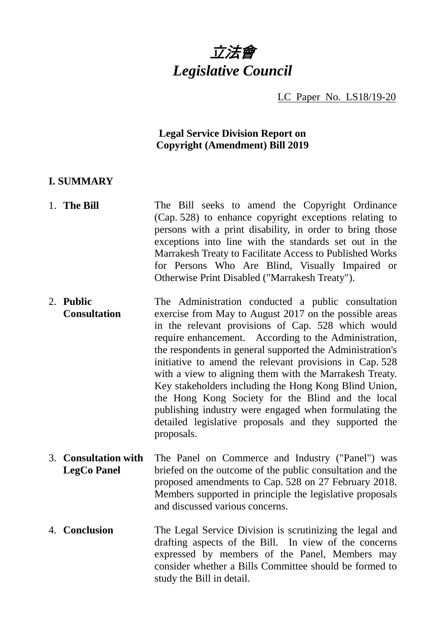# 立法會 *Legislative Council*

LC Paper No. LS18/19-20

#### **Legal Service Division Report on Copyright (Amendment) Bill 2019**

#### **I. SUMMARY**

- 1. **The Bill** The Bill seeks to amend the Copyright Ordinance (Cap. 528) to enhance copyright exceptions relating to persons with a print disability, in order to bring those exceptions into line with the standards set out in the Marrakesh Treaty to Facilitate Access to Published Works for Persons Who Are Blind, Visually Impaired or Otherwise Print Disabled ("Marrakesh Treaty").
- 2. **Public Consultation** The Administration conducted a public consultation exercise from May to August 2017 on the possible areas in the relevant provisions of Cap. 528 which would require enhancement. According to the Administration, the respondents in general supported the Administration's initiative to amend the relevant provisions in Cap. 528 with a view to aligning them with the Marrakesh Treaty. Key stakeholders including the Hong Kong Blind Union, the Hong Kong Society for the Blind and the local publishing industry were engaged when formulating the detailed legislative proposals and they supported the proposals.
- 3. **Consultation with LegCo Panel** The Panel on Commerce and Industry ("Panel") was briefed on the outcome of the public consultation and the proposed amendments to Cap. 528 on 27 February 2018. Members supported in principle the legislative proposals and discussed various concerns.
- 4. **Conclusion** The Legal Service Division is scrutinizing the legal and drafting aspects of the Bill. In view of the concerns expressed by members of the Panel, Members may consider whether a Bills Committee should be formed to study the Bill in detail.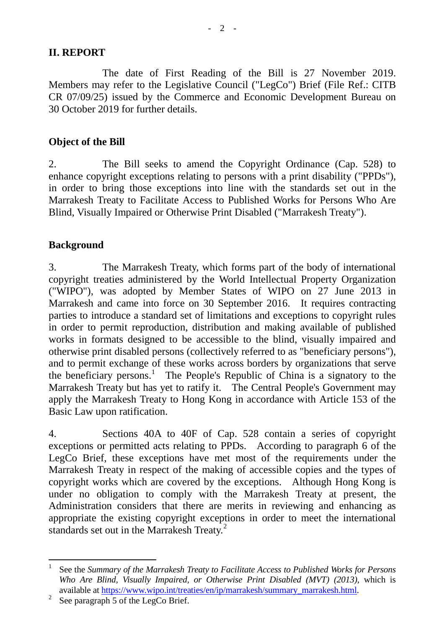#### **II. REPORT**

The date of First Reading of the Bill is 27 November 2019. Members may refer to the Legislative Council ("LegCo") Brief (File Ref.: CITB CR 07/09/25) issued by the Commerce and Economic Development Bureau on 30 October 2019 for further details.

#### **Object of the Bill**

2. The Bill seeks to amend the Copyright Ordinance (Cap. 528) to enhance copyright exceptions relating to persons with a print disability ("PPDs"), in order to bring those exceptions into line with the standards set out in the Marrakesh Treaty to Facilitate Access to Published Works for Persons Who Are Blind, Visually Impaired or Otherwise Print Disabled ("Marrakesh Treaty").

#### **Background**

3. The Marrakesh Treaty, which forms part of the body of international copyright treaties administered by the World Intellectual Property Organization ("WIPO"), was adopted by Member States of WIPO on 27 June 2013 in Marrakesh and came into force on 30 September 2016. It requires contracting parties to introduce a standard set of limitations and exceptions to copyright rules in order to permit reproduction, distribution and making available of published works in formats designed to be accessible to the blind, visually impaired and otherwise print disabled persons (collectively referred to as "beneficiary persons"), and to permit exchange of these works across borders by organizations that serve the beneficiary persons. [1](#page-1-0) The People's Republic of China is a signatory to the Marrakesh Treaty but has yet to ratify it. The Central People's Government may apply the Marrakesh Treaty to Hong Kong in accordance with Article 153 of the Basic Law upon ratification.

4. Sections 40A to 40F of Cap. 528 contain a series of copyright exceptions or permitted acts relating to PPDs. According to paragraph 6 of the LegCo Brief, these exceptions have met most of the requirements under the Marrakesh Treaty in respect of the making of accessible copies and the types of copyright works which are covered by the exceptions. Although Hong Kong is under no obligation to comply with the Marrakesh Treaty at present, the Administration considers that there are merits in reviewing and enhancing as appropriate the existing copyright exceptions in order to meet the international standards set out in the Marrakesh Treaty.<sup>[2](#page-1-1)</sup>

<span id="page-1-0"></span> <sup>1</sup> See the *Summary of the Marrakesh Treaty to Facilitate Access to Published Works for Persons Who Are Blind, Visually Impaired, or Otherwise Print Disabled (MVT) (2013)*, which is available at [https://www.wipo.int/treaties/en/ip/marrakesh/summary\\_marrakesh.html.](https://www.wipo.int/treaties/en/ip/marrakesh/summary_marrakesh.html)<br><sup>2</sup> See paragraph 5 of the LegCo Brief.

<span id="page-1-1"></span>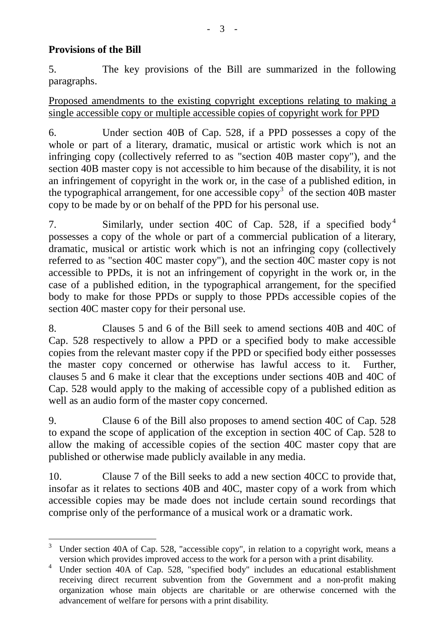#### **Provisions of the Bill**

5. The key provisions of the Bill are summarized in the following paragraphs.

Proposed amendments to the existing copyright exceptions relating to making a single accessible copy or multiple accessible copies of copyright work for PPD

6. Under section 40B of Cap. 528, if a PPD possesses a copy of the whole or part of a literary, dramatic, musical or artistic work which is not an infringing copy (collectively referred to as "section 40B master copy"), and the section 40B master copy is not accessible to him because of the disability, it is not an infringement of copyright in the work or, in the case of a published edition, in the typographical arrangement, for one accessible  $\text{copy}^3$  $\text{copy}^3$  of the section 40B master copy to be made by or on behalf of the PPD for his personal use.

7. Similarly, under section [4](#page-2-1)0C of Cap. 528, if a specified body<sup>4</sup> possesses a copy of the whole or part of a commercial publication of a literary, dramatic, musical or artistic work which is not an infringing copy (collectively referred to as "section 40C master copy"), and the section 40C master copy is not accessible to PPDs, it is not an infringement of copyright in the work or, in the case of a published edition, in the typographical arrangement, for the specified body to make for those PPDs or supply to those PPDs accessible copies of the section 40C master copy for their personal use.

8. Clauses 5 and 6 of the Bill seek to amend sections 40B and 40C of Cap. 528 respectively to allow a PPD or a specified body to make accessible copies from the relevant master copy if the PPD or specified body either possesses the master copy concerned or otherwise has lawful access to it. Further, clauses 5 and 6 make it clear that the exceptions under sections 40B and 40C of Cap. 528 would apply to the making of accessible copy of a published edition as well as an audio form of the master copy concerned.

9. Clause 6 of the Bill also proposes to amend section 40C of Cap. 528 to expand the scope of application of the exception in section 40C of Cap. 528 to allow the making of accessible copies of the section 40C master copy that are published or otherwise made publicly available in any media.

10. Clause 7 of the Bill seeks to add a new section 40CC to provide that, insofar as it relates to sections 40B and 40C, master copy of a work from which accessible copies may be made does not include certain sound recordings that comprise only of the performance of a musical work or a dramatic work.

<span id="page-2-0"></span> $3$  Under section 40A of Cap. 528, "accessible copy", in relation to a copyright work, means a version which provides improved access to the work for a person with a print disability.

<span id="page-2-1"></span>Under section 40A of Cap. 528, "specified body" includes an educational establishment receiving direct recurrent subvention from the Government and a non-profit making organization whose main objects are charitable or are otherwise concerned with the advancement of welfare for persons with a print disability.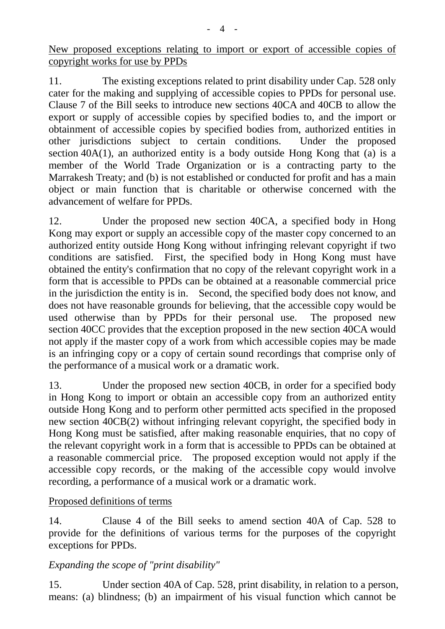New proposed exceptions relating to import or export of accessible copies of copyright works for use by PPDs

11. The existing exceptions related to print disability under Cap. 528 only cater for the making and supplying of accessible copies to PPDs for personal use. Clause 7 of the Bill seeks to introduce new sections 40CA and 40CB to allow the export or supply of accessible copies by specified bodies to, and the import or obtainment of accessible copies by specified bodies from, authorized entities in other jurisdictions subject to certain conditions. Under the proposed section  $40A(1)$ , an authorized entity is a body outside Hong Kong that (a) is a member of the World Trade Organization or is a contracting party to the Marrakesh Treaty; and (b) is not established or conducted for profit and has a main object or main function that is charitable or otherwise concerned with the advancement of welfare for PPDs.

12. Under the proposed new section 40CA, a specified body in Hong Kong may export or supply an accessible copy of the master copy concerned to an authorized entity outside Hong Kong without infringing relevant copyright if two conditions are satisfied. First, the specified body in Hong Kong must have obtained the entity's confirmation that no copy of the relevant copyright work in a form that is accessible to PPDs can be obtained at a reasonable commercial price in the jurisdiction the entity is in. Second, the specified body does not know, and does not have reasonable grounds for believing, that the accessible copy would be used otherwise than by PPDs for their personal use. The proposed new section 40CC provides that the exception proposed in the new section 40CA would not apply if the master copy of a work from which accessible copies may be made is an infringing copy or a copy of certain sound recordings that comprise only of the performance of a musical work or a dramatic work.

13. Under the proposed new section 40CB, in order for a specified body in Hong Kong to import or obtain an accessible copy from an authorized entity outside Hong Kong and to perform other permitted acts specified in the proposed new section 40CB(2) without infringing relevant copyright, the specified body in Hong Kong must be satisfied, after making reasonable enquiries, that no copy of the relevant copyright work in a form that is accessible to PPDs can be obtained at a reasonable commercial price. The proposed exception would not apply if the accessible copy records, or the making of the accessible copy would involve recording, a performance of a musical work or a dramatic work.

#### Proposed definitions of terms

14. Clause 4 of the Bill seeks to amend section 40A of Cap. 528 to provide for the definitions of various terms for the purposes of the copyright exceptions for PPDs.

## *Expanding the scope of "print disability"*

15. Under section 40A of Cap. 528, print disability, in relation to a person, means: (a) blindness; (b) an impairment of his visual function which cannot be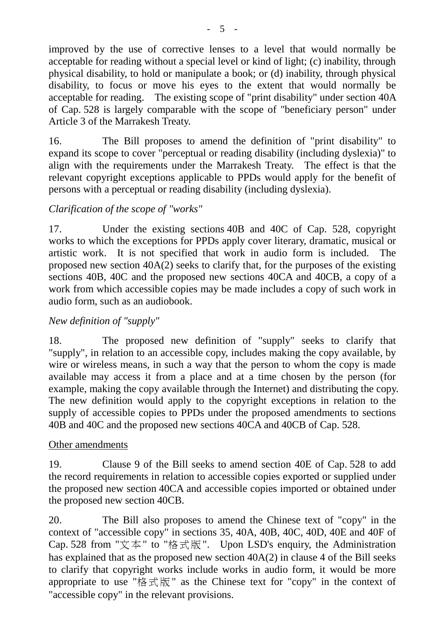improved by the use of corrective lenses to a level that would normally be acceptable for reading without a special level or kind of light; (c) inability, through physical disability, to hold or manipulate a book; or (d) inability, through physical disability, to focus or move his eyes to the extent that would normally be acceptable for reading. The existing scope of "print disability" under section 40A of Cap. 528 is largely comparable with the scope of "beneficiary person" under Article 3 of the Marrakesh Treaty.

16. The Bill proposes to amend the definition of "print disability" to expand its scope to cover "perceptual or reading disability (including dyslexia)" to align with the requirements under the Marrakesh Treaty. The effect is that the relevant copyright exceptions applicable to PPDs would apply for the benefit of persons with a perceptual or reading disability (including dyslexia).

## *Clarification of the scope of "works"*

17. Under the existing sections 40B and 40C of Cap. 528, copyright works to which the exceptions for PPDs apply cover literary, dramatic, musical or artistic work. It is not specified that work in audio form is included. The proposed new section 40A(2) seeks to clarify that, for the purposes of the existing sections 40B, 40C and the proposed new sections 40CA and 40CB, a copy of a work from which accessible copies may be made includes a copy of such work in audio form, such as an audiobook.

# *New definition of "supply"*

18. The proposed new definition of "supply" seeks to clarify that "supply", in relation to an accessible copy, includes making the copy available, by wire or wireless means, in such a way that the person to whom the copy is made available may access it from a place and at a time chosen by the person (for example, making the copy available through the Internet) and distributing the copy. The new definition would apply to the copyright exceptions in relation to the supply of accessible copies to PPDs under the proposed amendments to sections 40B and 40C and the proposed new sections 40CA and 40CB of Cap. 528.

## Other amendments

19. Clause 9 of the Bill seeks to amend section 40E of Cap. 528 to add the record requirements in relation to accessible copies exported or supplied under the proposed new section 40CA and accessible copies imported or obtained under the proposed new section 40CB.

20. The Bill also proposes to amend the Chinese text of "copy" in the context of "accessible copy" in sections 35, 40A, 40B, 40C, 40D, 40E and 40F of Cap. 528 from "文本" to "格式版". Upon LSD's enquiry, the Administration has explained that as the proposed new section 40A(2) in clause 4 of the Bill seeks to clarify that copyright works include works in audio form, it would be more appropriate to use "格式版" as the Chinese text for "copy" in the context of "accessible copy" in the relevant provisions.